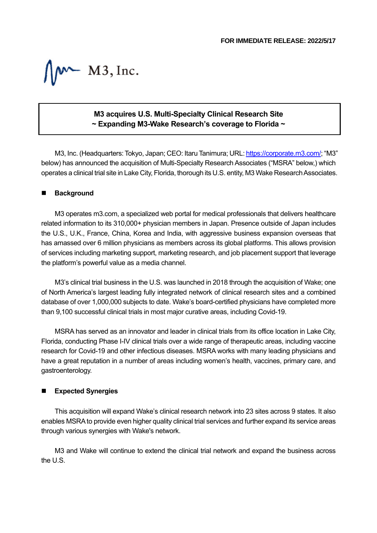$M$  M3, Inc.

## **M3 acquires U.S. Multi-Specialty Clinical Research Site ~ Expanding M3-Wake Research's coverage to Florida ~**

M3, Inc. (Headquarters: Tokyo, Japan; CEO: Itaru Tanimura; URL[: https://corporate.m3.com/;](https://corporate.m3.com/) "M3" below) has announced the acquisition of Multi-Specialty Research Associates ("MSRA" below,) which operates a clinical trial site in Lake City, Florida, thorough its U.S. entity, M3 Wake Research Associates.

## ■ **Background**

M3 operates m3.com, a specialized web portal for medical professionals that delivers healthcare related information to its 310,000+ physician members in Japan. Presence outside of Japan includes the U.S., U.K., France, China, Korea and India, with aggressive business expansion overseas that has amassed over 6 million physicians as members across its global platforms. This allows provision of services including marketing support, marketing research, and job placement support that leverage the platform's powerful value as a media channel.

M3's clinical trial business in the U.S. was launched in 2018 through the acquisition of Wake; one of North America's largest leading fully integrated network of clinical research sites and a combined database of over 1,000,000 subjects to date. Wake's board-certified physicians have completed more than 9,100 successful clinical trials in most major curative areas, including Covid-19.

MSRA has served as an innovator and leader in clinical trials from its office location in Lake City, Florida, conducting Phase I-IV clinical trials over a wide range of therapeutic areas, including vaccine research for Covid-19 and other infectious diseases. MSRA works with many leading physicians and have a great reputation in a number of areas including women's health, vaccines, primary care, and gastroenterology.

## ◼ **Expected Synergies**

This acquisition will expand Wake's clinical research network into 23 sites across 9 states. It also enables MSRA to provide even higher quality clinical trial services and further expand its service areas through various synergies with Wake's network.

M3 and Wake will continue to extend the clinical trial network and expand the business across the U.S.